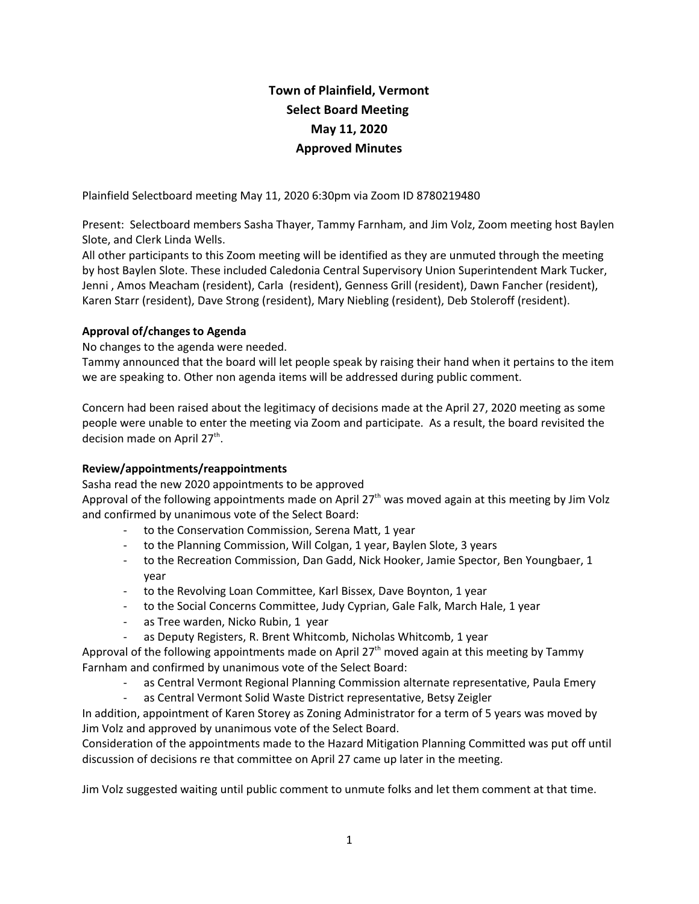# **Town of Plainfield, Vermont Select Board Meeting May 11, 2020 Approved Minutes**

Plainfield Selectboard meeting May 11, 2020 6:30pm via Zoom ID 8780219480

Present: Selectboard members Sasha Thayer, Tammy Farnham, and Jim Volz, Zoom meeting host Baylen Slote, and Clerk Linda Wells.

All other participants to this Zoom meeting will be identified as they are unmuted through the meeting by host Baylen Slote. These included Caledonia Central Supervisory Union Superintendent Mark Tucker, Jenni , Amos Meacham (resident), Carla (resident), Genness Grill (resident), Dawn Fancher (resident), Karen Starr (resident), Dave Strong (resident), Mary Niebling (resident), Deb Stoleroff (resident).

## **Approval of/changes to Agenda**

No changes to the agenda were needed.

Tammy announced that the board will let people speak by raising their hand when it pertains to the item we are speaking to. Other non agenda items will be addressed during public comment.

Concern had been raised about the legitimacy of decisions made at the April 27, 2020 meeting as some people were unable to enter the meeting via Zoom and participate. As a result, the board revisited the decision made on April 27<sup>th</sup>.

## **Review/appointments/reappointments**

Sasha read the new 2020 appointments to be approved

Approval of the following appointments made on April 27<sup>th</sup> was moved again at this meeting by Jim Volz and confirmed by unanimous vote of the Select Board:

- to the Conservation Commission, Serena Matt, 1 year
- to the Planning Commission, Will Colgan, 1 year, Baylen Slote, 3 years
- to the Recreation Commission, Dan Gadd, Nick Hooker, Jamie Spector, Ben Youngbaer, 1 year
- to the Revolving Loan Committee, Karl Bissex, Dave Boynton, 1 year
- to the Social Concerns Committee, Judy Cyprian, Gale Falk, March Hale, 1 year
- as Tree warden, Nicko Rubin, 1 year
	- as Deputy Registers, R. Brent Whitcomb, Nicholas Whitcomb, 1 year

Approval of the following appointments made on April 27<sup>th</sup> moved again at this meeting by Tammy Farnham and confirmed by unanimous vote of the Select Board:

- as Central Vermont Regional Planning Commission alternate representative, Paula Emery
- as Central Vermont Solid Waste District representative, Betsy Zeigler

In addition, appointment of Karen Storey as Zoning Administrator for a term of 5 years was moved by Jim Volz and approved by unanimous vote of the Select Board.

Consideration of the appointments made to the Hazard Mitigation Planning Committed was put off until discussion of decisions re that committee on April 27 came up later in the meeting.

Jim Volz suggested waiting until public comment to unmute folks and let them comment at that time.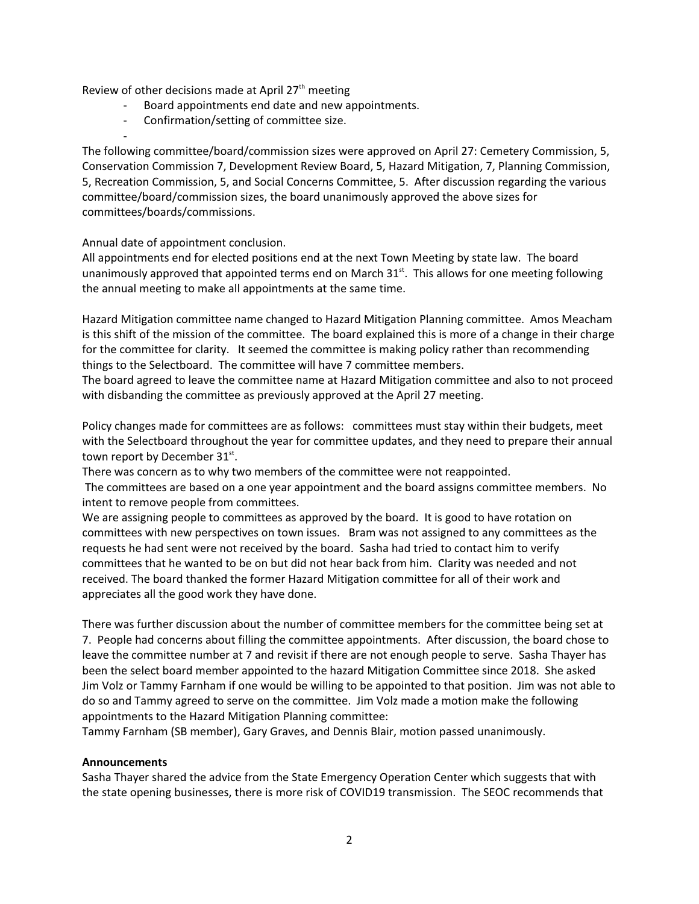Review of other decisions made at April 27<sup>th</sup> meeting

- Board appointments end date and new appointments.
- Confirmation/setting of committee size.
- -

The following committee/board/commission sizes were approved on April 27: Cemetery Commission, 5, Conservation Commission 7, Development Review Board, 5, Hazard Mitigation, 7, Planning Commission, 5, Recreation Commission, 5, and Social Concerns Committee, 5. After discussion regarding the various committee/board/commission sizes, the board unanimously approved the above sizes for committees/boards/commissions.

Annual date of appointment conclusion.

All appointments end for elected positions end at the next Town Meeting by state law. The board unanimously approved that appointed terms end on March 31 $^{\text{st}}$ . This allows for one meeting following the annual meeting to make all appointments at the same time.

Hazard Mitigation committee name changed to Hazard Mitigation Planning committee. Amos Meacham is this shift of the mission of the committee. The board explained this is more of a change in their charge for the committee for clarity. It seemed the committee is making policy rather than recommending things to the Selectboard. The committee will have 7 committee members.

The board agreed to leave the committee name at Hazard Mitigation committee and also to not proceed with disbanding the committee as previously approved at the April 27 meeting.

Policy changes made for committees are as follows: committees must stay within their budgets, meet with the Selectboard throughout the year for committee updates, and they need to prepare their annual town report by December  $31^{st}$ .

There was concern as to why two members of the committee were not reappointed.

 The committees are based on a one year appointment and the board assigns committee members. No intent to remove people from committees.

We are assigning people to committees as approved by the board. It is good to have rotation on committees with new perspectives on town issues. Bram was not assigned to any committees as the requests he had sent were not received by the board. Sasha had tried to contact him to verify committees that he wanted to be on but did not hear back from him. Clarity was needed and not received. The board thanked the former Hazard Mitigation committee for all of their work and appreciates all the good work they have done.

There was further discussion about the number of committee members for the committee being set at 7. People had concerns about filling the committee appointments. After discussion, the board chose to leave the committee number at 7 and revisit if there are not enough people to serve. Sasha Thayer has been the select board member appointed to the hazard Mitigation Committee since 2018. She asked Jim Volz or Tammy Farnham if one would be willing to be appointed to that position. Jim was not able to do so and Tammy agreed to serve on the committee. Jim Volz made a motion make the following appointments to the Hazard Mitigation Planning committee:

Tammy Farnham (SB member), Gary Graves, and Dennis Blair, motion passed unanimously.

#### **Announcements**

Sasha Thayer shared the advice from the State Emergency Operation Center which suggests that with the state opening businesses, there is more risk of COVID19 transmission. The SEOC recommends that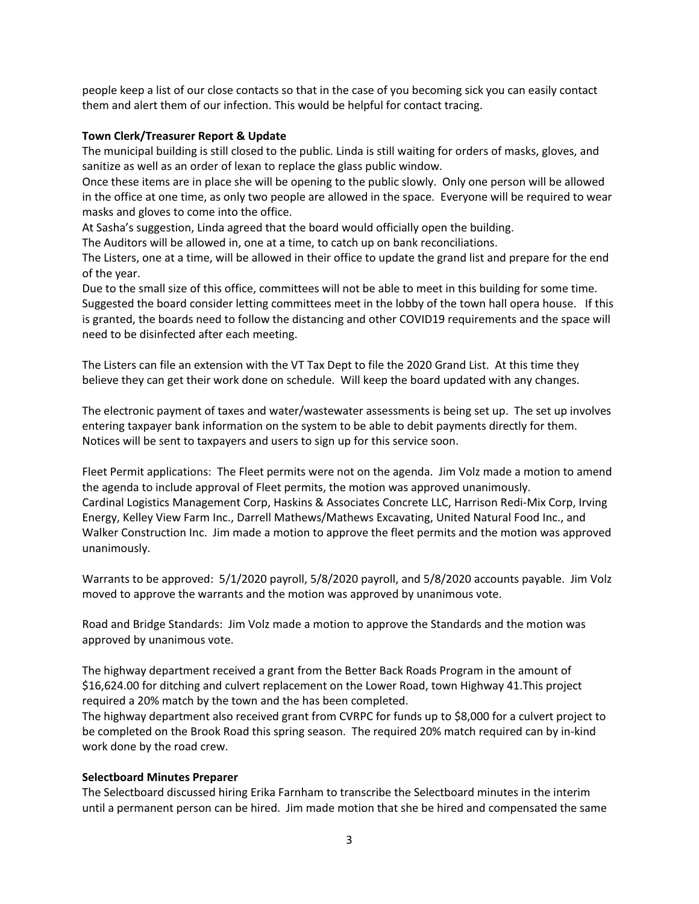people keep a list of our close contacts so that in the case of you becoming sick you can easily contact them and alert them of our infection. This would be helpful for contact tracing.

#### **Town Clerk/Treasurer Report & Update**

The municipal building is still closed to the public. Linda is still waiting for orders of masks, gloves, and sanitize as well as an order of lexan to replace the glass public window.

Once these items are in place she will be opening to the public slowly. Only one person will be allowed in the office at one time, as only two people are allowed in the space. Everyone will be required to wear masks and gloves to come into the office.

At Sasha's suggestion, Linda agreed that the board would officially open the building.

The Auditors will be allowed in, one at a time, to catch up on bank reconciliations.

The Listers, one at a time, will be allowed in their office to update the grand list and prepare for the end of the year.

Due to the small size of this office, committees will not be able to meet in this building for some time. Suggested the board consider letting committees meet in the lobby of the town hall opera house. If this is granted, the boards need to follow the distancing and other COVID19 requirements and the space will need to be disinfected after each meeting.

The Listers can file an extension with the VT Tax Dept to file the 2020 Grand List. At this time they believe they can get their work done on schedule. Will keep the board updated with any changes.

The electronic payment of taxes and water/wastewater assessments is being set up. The set up involves entering taxpayer bank information on the system to be able to debit payments directly for them. Notices will be sent to taxpayers and users to sign up for this service soon.

Fleet Permit applications: The Fleet permits were not on the agenda. Jim Volz made a motion to amend the agenda to include approval of Fleet permits, the motion was approved unanimously. Cardinal Logistics Management Corp, Haskins & Associates Concrete LLC, Harrison Redi-Mix Corp, Irving Energy, Kelley View Farm Inc., Darrell Mathews/Mathews Excavating, United Natural Food Inc., and Walker Construction Inc. Jim made a motion to approve the fleet permits and the motion was approved unanimously.

Warrants to be approved: 5/1/2020 payroll, 5/8/2020 payroll, and 5/8/2020 accounts payable. Jim Volz moved to approve the warrants and the motion was approved by unanimous vote.

Road and Bridge Standards: Jim Volz made a motion to approve the Standards and the motion was approved by unanimous vote.

The highway department received a grant from the Better Back Roads Program in the amount of \$16,624.00 for ditching and culvert replacement on the Lower Road, town Highway 41.This project required a 20% match by the town and the has been completed.

The highway department also received grant from CVRPC for funds up to \$8,000 for a culvert project to be completed on the Brook Road this spring season. The required 20% match required can by in-kind work done by the road crew.

## **Selectboard Minutes Preparer**

The Selectboard discussed hiring Erika Farnham to transcribe the Selectboard minutes in the interim until a permanent person can be hired. Jim made motion that she be hired and compensated the same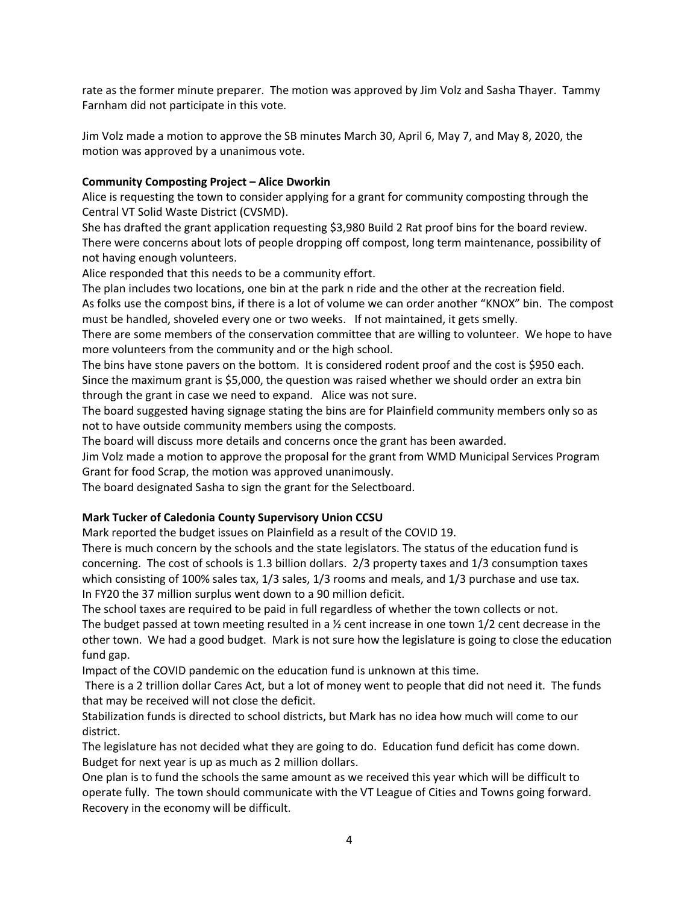rate as the former minute preparer. The motion was approved by Jim Volz and Sasha Thayer. Tammy Farnham did not participate in this vote.

Jim Volz made a motion to approve the SB minutes March 30, April 6, May 7, and May 8, 2020, the motion was approved by a unanimous vote.

## **Community Composting Project – Alice Dworkin**

Alice is requesting the town to consider applying for a grant for community composting through the Central VT Solid Waste District (CVSMD).

She has drafted the grant application requesting \$3,980 Build 2 Rat proof bins for the board review. There were concerns about lots of people dropping off compost, long term maintenance, possibility of not having enough volunteers.

Alice responded that this needs to be a community effort.

The plan includes two locations, one bin at the park n ride and the other at the recreation field.

As folks use the compost bins, if there is a lot of volume we can order another "KNOX" bin. The compost must be handled, shoveled every one or two weeks. If not maintained, it gets smelly.

There are some members of the conservation committee that are willing to volunteer. We hope to have more volunteers from the community and or the high school.

The bins have stone pavers on the bottom. It is considered rodent proof and the cost is \$950 each. Since the maximum grant is \$5,000, the question was raised whether we should order an extra bin through the grant in case we need to expand. Alice was not sure.

The board suggested having signage stating the bins are for Plainfield community members only so as not to have outside community members using the composts.

The board will discuss more details and concerns once the grant has been awarded.

Jim Volz made a motion to approve the proposal for the grant from WMD Municipal Services Program Grant for food Scrap, the motion was approved unanimously.

The board designated Sasha to sign the grant for the Selectboard.

## **Mark Tucker of Caledonia County Supervisory Union CCSU**

Mark reported the budget issues on Plainfield as a result of the COVID 19.

There is much concern by the schools and the state legislators. The status of the education fund is concerning. The cost of schools is 1.3 billion dollars. 2/3 property taxes and 1/3 consumption taxes which consisting of 100% sales tax, 1/3 sales, 1/3 rooms and meals, and 1/3 purchase and use tax. In FY20 the 37 million surplus went down to a 90 million deficit.

The school taxes are required to be paid in full regardless of whether the town collects or not.

The budget passed at town meeting resulted in a ½ cent increase in one town 1/2 cent decrease in the other town. We had a good budget. Mark is not sure how the legislature is going to close the education fund gap.

Impact of the COVID pandemic on the education fund is unknown at this time.

 There is a 2 trillion dollar Cares Act, but a lot of money went to people that did not need it. The funds that may be received will not close the deficit.

Stabilization funds is directed to school districts, but Mark has no idea how much will come to our district.

The legislature has not decided what they are going to do. Education fund deficit has come down. Budget for next year is up as much as 2 million dollars.

One plan is to fund the schools the same amount as we received this year which will be difficult to operate fully. The town should communicate with the VT League of Cities and Towns going forward. Recovery in the economy will be difficult.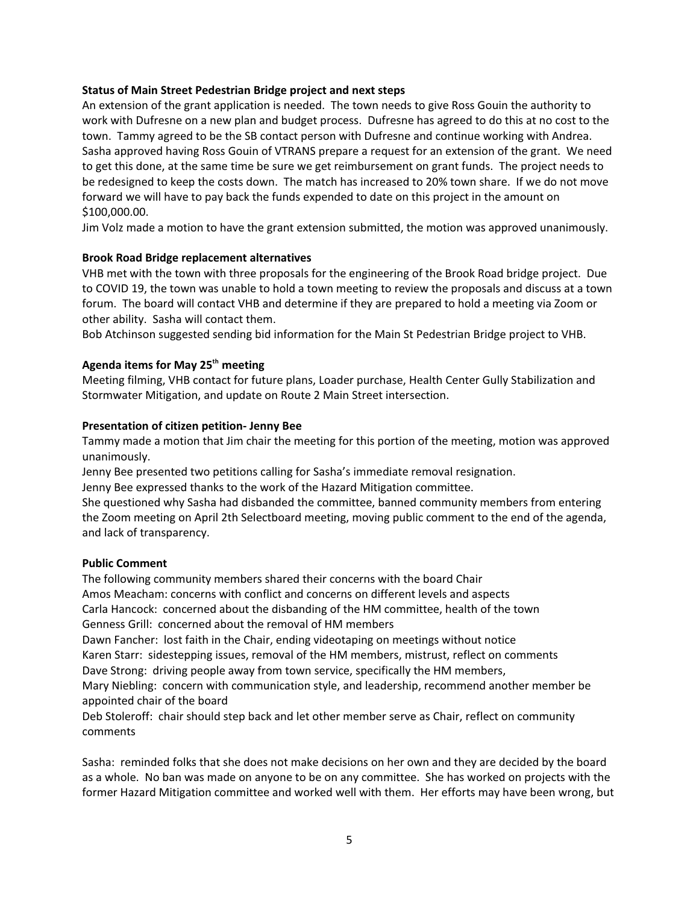#### **Status of Main Street Pedestrian Bridge project and next steps**

An extension of the grant application is needed. The town needs to give Ross Gouin the authority to work with Dufresne on a new plan and budget process. Dufresne has agreed to do this at no cost to the town. Tammy agreed to be the SB contact person with Dufresne and continue working with Andrea. Sasha approved having Ross Gouin of VTRANS prepare a request for an extension of the grant. We need to get this done, at the same time be sure we get reimbursement on grant funds. The project needs to be redesigned to keep the costs down. The match has increased to 20% town share. If we do not move forward we will have to pay back the funds expended to date on this project in the amount on \$100,000.00.

Jim Volz made a motion to have the grant extension submitted, the motion was approved unanimously.

#### **Brook Road Bridge replacement alternatives**

VHB met with the town with three proposals for the engineering of the Brook Road bridge project. Due to COVID 19, the town was unable to hold a town meeting to review the proposals and discuss at a town forum. The board will contact VHB and determine if they are prepared to hold a meeting via Zoom or other ability. Sasha will contact them.

Bob Atchinson suggested sending bid information for the Main St Pedestrian Bridge project to VHB.

## **Agenda items for May 25th meeting**

Meeting filming, VHB contact for future plans, Loader purchase, Health Center Gully Stabilization and Stormwater Mitigation, and update on Route 2 Main Street intersection.

#### **Presentation of citizen petition- Jenny Bee**

Tammy made a motion that Jim chair the meeting for this portion of the meeting, motion was approved unanimously.

Jenny Bee presented two petitions calling for Sasha's immediate removal resignation.

Jenny Bee expressed thanks to the work of the Hazard Mitigation committee.

She questioned why Sasha had disbanded the committee, banned community members from entering the Zoom meeting on April 2th Selectboard meeting, moving public comment to the end of the agenda, and lack of transparency.

#### **Public Comment**

The following community members shared their concerns with the board Chair Amos Meacham: concerns with conflict and concerns on different levels and aspects Carla Hancock: concerned about the disbanding of the HM committee, health of the town Genness Grill: concerned about the removal of HM members Dawn Fancher: lost faith in the Chair, ending videotaping on meetings without notice Karen Starr: sidestepping issues, removal of the HM members, mistrust, reflect on comments Dave Strong: driving people away from town service, specifically the HM members, Mary Niebling: concern with communication style, and leadership, recommend another member be appointed chair of the board

Deb Stoleroff: chair should step back and let other member serve as Chair, reflect on community comments

Sasha: reminded folks that she does not make decisions on her own and they are decided by the board as a whole. No ban was made on anyone to be on any committee. She has worked on projects with the former Hazard Mitigation committee and worked well with them. Her efforts may have been wrong, but